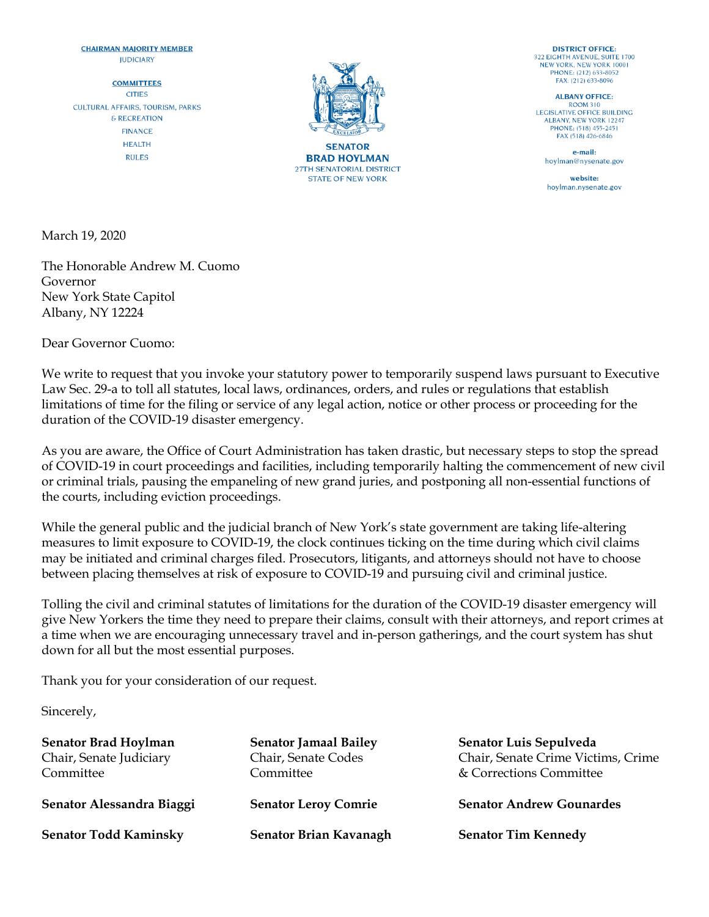## **CHAIRMAN MAJORITY MEMBER IUDICIARY**

**COMMITTEES CITIES CULTURAL AFFAIRS, TOURISM, PARKS** & RECREATION **FINANCE HEALTH RULES** 



**BRAD HOYLMAN 27TH SENATORIAL DISTRICT STATE OF NEW YORK** 

**DISTRICT OFFICE:** 322 EIGHTH AVENUE, SUITE 1700 NEW YORK, NEW YORK 10001 PHONE: (212) 633-8052 FAX: (212) 633-8096

**ALBANY OFFICE: ROOM 310 LEGISLATIVE OFFICE BUILDING ALBANY, NEW YORK 12247** PHONE: (518) 455-2451 FAX (518) 426-6846

e-mail: hoylman@nysenate.gov

website: hoylman.nysenate.gov

March 19, 2020

The Honorable Andrew M. Cuomo Governor New York State Capitol Albany, NY 12224

Dear Governor Cuomo:

We write to request that you invoke your statutory power to temporarily suspend laws pursuant to Executive Law Sec. 29-a to toll all statutes, local laws, ordinances, orders, and rules or regulations that establish limitations of time for the filing or service of any legal action, notice or other process or proceeding for the duration of the COVID-19 disaster emergency.

As you are aware, the Office of Court Administration has taken drastic, but necessary steps to stop the spread of COVID-19 in court proceedings and facilities, including temporarily halting the commencement of new civil or criminal trials, pausing the empaneling of new grand juries, and postponing all non-essential functions of the courts, including eviction proceedings.

While the general public and the judicial branch of New York's state government are taking life-altering measures to limit exposure to COVID-19, the clock continues ticking on the time during which civil claims may be initiated and criminal charges filed. Prosecutors, litigants, and attorneys should not have to choose between placing themselves at risk of exposure to COVID-19 and pursuing civil and criminal justice.

Tolling the civil and criminal statutes of limitations for the duration of the COVID-19 disaster emergency will give New Yorkers the time they need to prepare their claims, consult with their attorneys, and report crimes at a time when we are encouraging unnecessary travel and in-person gatherings, and the court system has shut down for all but the most essential purposes.

Thank you for your consideration of our request.

Sincerely,

| <b>Senator Brad Hoylman</b><br>Chair, Senate Judiciary<br>Committee | <b>Senator Jamaal Bailey</b><br>Chair, Senate Codes<br>Committee | Senator Luis Sepulveda<br>Chair, Senate Crime Victims, Crime<br>& Corrections Committee |
|---------------------------------------------------------------------|------------------------------------------------------------------|-----------------------------------------------------------------------------------------|
| Senator Alessandra Biaggi                                           | <b>Senator Leroy Comrie</b>                                      | <b>Senator Andrew Gounardes</b>                                                         |
| <b>Senator Todd Kaminsky</b>                                        | Senator Brian Kavanagh                                           | <b>Senator Tim Kennedy</b>                                                              |